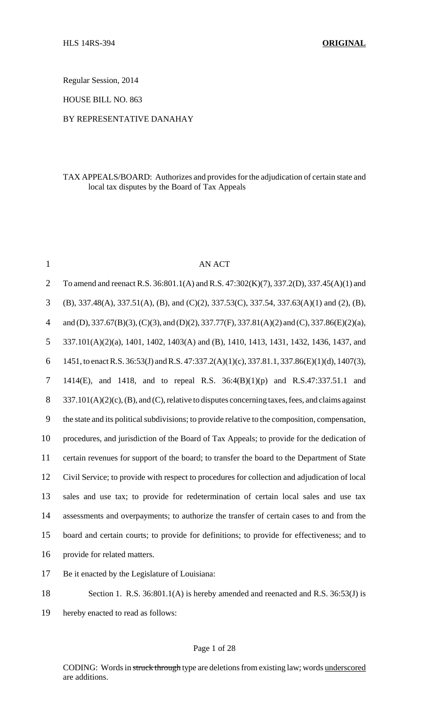Regular Session, 2014

HOUSE BILL NO. 863

### BY REPRESENTATIVE DANAHAY

### TAX APPEALS/BOARD: Authorizes and provides for the adjudication of certain state and local tax disputes by the Board of Tax Appeals

| $\mathbf{1}$   | <b>AN ACT</b>                                                                                      |
|----------------|----------------------------------------------------------------------------------------------------|
| $\overline{2}$ | To amend and reenact R.S. 36:801.1(A) and R.S. 47:302(K)(7), 337.2(D), 337.45(A)(1) and            |
| 3              | (B), 337.48(A), 337.51(A), (B), and (C)(2), 337.53(C), 337.54, 337.63(A)(1) and (2), (B),          |
| $\overline{4}$ | and (D), 337.67(B)(3), (C)(3), and (D)(2), 337.77(F), 337.81(A)(2) and (C), 337.86(E)(2)(a),       |
| 5              | 337.101(A)(2)(a), 1401, 1402, 1403(A) and (B), 1410, 1413, 1431, 1432, 1436, 1437, and             |
| 6              | 1451, to enact R.S. 36:53(J) and R.S. 47:337.2(A)(1)(c), 337.81.1, 337.86(E)(1)(d), 1407(3),       |
| $\tau$         | 1414(E), and 1418, and to repeal R.S. $36:4(B)(1)(p)$ and R.S.47:337.51.1 and                      |
| 8              | $337.101(A)(2)(c)$ , (B), and (C), relative to disputes concerning taxes, fees, and claims against |
| 9              | the state and its political subdivisions; to provide relative to the composition, compensation,    |
| 10             | procedures, and jurisdiction of the Board of Tax Appeals; to provide for the dedication of         |
| 11             | certain revenues for support of the board; to transfer the board to the Department of State        |
| 12             | Civil Service; to provide with respect to procedures for collection and adjudication of local      |
| 13             | sales and use tax; to provide for redetermination of certain local sales and use tax               |
| 14             | assessments and overpayments; to authorize the transfer of certain cases to and from the           |
| 15             | board and certain courts; to provide for definitions; to provide for effectiveness; and to         |
| 16             | provide for related matters.                                                                       |
| 17             | Be it enacted by the Legislature of Louisiana:                                                     |
|                |                                                                                                    |

- 18 Section 1. R.S. 36:801.1(A) is hereby amended and reenacted and R.S. 36:53(J) is
- 19 hereby enacted to read as follows:

#### Page 1 of 28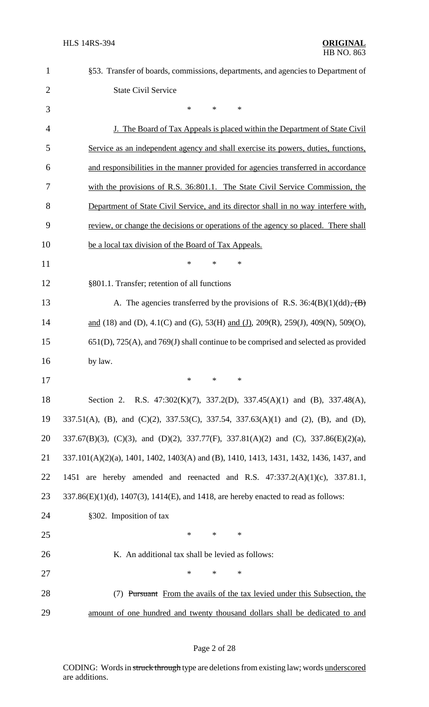| $\mathbf{1}$   | §53. Transfer of boards, commissions, departments, and agencies to Department of                |
|----------------|-------------------------------------------------------------------------------------------------|
| $\overline{2}$ | <b>State Civil Service</b>                                                                      |
| 3              | $\ast$<br>*<br>*                                                                                |
| $\overline{4}$ | <u>J. The Board of Tax Appeals is placed within the Department of State Civil</u>               |
| 5              | Service as an independent agency and shall exercise its powers, duties, functions,              |
| 6              | and responsibilities in the manner provided for agencies transferred in accordance              |
| 7              | with the provisions of R.S. 36:801.1. The State Civil Service Commission, the                   |
| 8              | Department of State Civil Service, and its director shall in no way interfere with,             |
| 9              | review, or change the decisions or operations of the agency so placed. There shall              |
| 10             | be a local tax division of the Board of Tax Appeals.                                            |
| 11             | $\ast$<br>*<br>*                                                                                |
| 12             | §801.1. Transfer; retention of all functions                                                    |
| 13             | A. The agencies transferred by the provisions of R.S. $36:4(B)(1)(dd)$ , $(B)$                  |
| 14             | and (18) and (D), 4.1(C) and (G), 53(H) and (J), 209(R), 259(J), 409(N), 509(O),                |
| 15             | $651(D)$ , $725(A)$ , and $769(J)$ shall continue to be comprised and selected as provided      |
| 16             | by law.                                                                                         |
| 17             | ∗<br>∗<br>∗                                                                                     |
| 18             | Section 2. R.S. 47:302(K)(7), 337.2(D), 337.45(A)(1) and (B), 337.48(A),                        |
| 19             | 337.51(A), (B), and (C)(2), 337.53(C), 337.54, 337.63(A)(1) and (2), (B), and (D),              |
| 20             | 337.67(B)(3), (C)(3), and (D)(2), 337.77(F), 337.81(A)(2) and (C), 337.86(E)(2)(a),             |
| 21             | 337.101(A)(2)(a), 1401, 1402, 1403(A) and (B), 1410, 1413, 1431, 1432, 1436, 1437, and          |
| 22             | 1451 are hereby amended and reenacted and R.S. $47:337.2(A)(1)(c)$ , $337.81.1$ ,               |
| 23             | $337.86(E)(1)(d)$ , $1407(3)$ , $1414(E)$ , and $1418$ , are hereby enacted to read as follows: |
| 24             | §302. Imposition of tax                                                                         |
| 25             | $\ast$<br>$\ast$<br>*                                                                           |
| 26             | K. An additional tax shall be levied as follows:                                                |
| 27             | *<br>$\ast$<br>*                                                                                |
| 28             | (7) Pursuant From the avails of the tax levied under this Subsection, the                       |
| 29             | amount of one hundred and twenty thousand dollars shall be dedicated to and                     |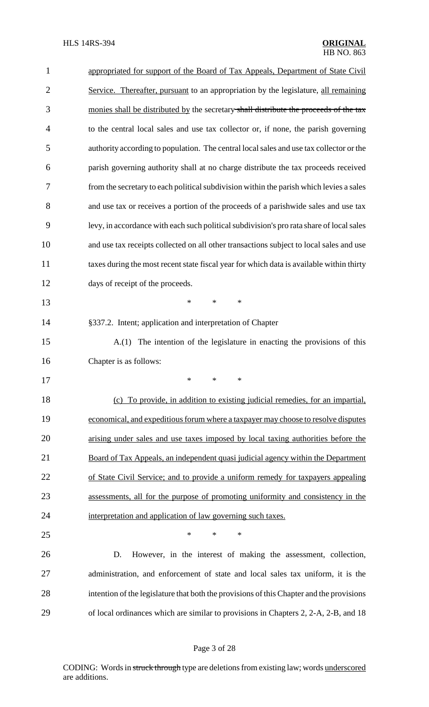| 1              | appropriated for support of the Board of Tax Appeals, Department of State Civil          |
|----------------|------------------------------------------------------------------------------------------|
| $\overline{c}$ | Service. Thereafter, pursuant to an appropriation by the legislature, all remaining      |
| 3              | monies shall be distributed by the secretary shall distribute the proceeds of the tax    |
| $\overline{4}$ | to the central local sales and use tax collector or, if none, the parish governing       |
| 5              | authority according to population. The central local sales and use tax collector or the  |
| 6              | parish governing authority shall at no charge distribute the tax proceeds received       |
| 7              | from the secretary to each political subdivision within the parish which levies a sales  |
| 8              | and use tax or receives a portion of the proceeds of a parishwide sales and use tax      |
| 9              | levy, in accordance with each such political subdivision's pro rata share of local sales |
| 10             | and use tax receipts collected on all other transactions subject to local sales and use  |
| 11             | taxes during the most recent state fiscal year for which data is available within thirty |
| 12             | days of receipt of the proceeds.                                                         |
| 13             | $\ast$<br>$\ast$<br>∗                                                                    |
| 14             | §337.2. Intent; application and interpretation of Chapter                                |
| 15             | The intention of the legislature in enacting the provisions of this<br>A(1)              |
| 16             | Chapter is as follows:                                                                   |
| 17             | $\ast$ $\ast$ $\ast$                                                                     |
| 18             | (c) To provide, in addition to existing judicial remedies, for an impartial,             |
| 19             | economical, and expeditious forum where a taxpayer may choose to resolve disputes        |
| 20             | arising under sales and use taxes imposed by local taxing authorities before the         |
| 21             | Board of Tax Appeals, an independent quasi judicial agency within the Department         |
| 22             | of State Civil Service; and to provide a uniform remedy for taxpayers appealing          |
| 23             | assessments, all for the purpose of promoting uniformity and consistency in the          |
| 24             | interpretation and application of law governing such taxes.                              |
| 25             | $\ast$<br>∗<br>$\ast$                                                                    |
| 26             | However, in the interest of making the assessment, collection,<br>D.                     |
| 27             | administration, and enforcement of state and local sales tax uniform, it is the          |
| 28             | intention of the legislature that both the provisions of this Chapter and the provisions |
| 29             | of local ordinances which are similar to provisions in Chapters 2, 2-A, 2-B, and 18      |
|                |                                                                                          |

# Page 3 of 28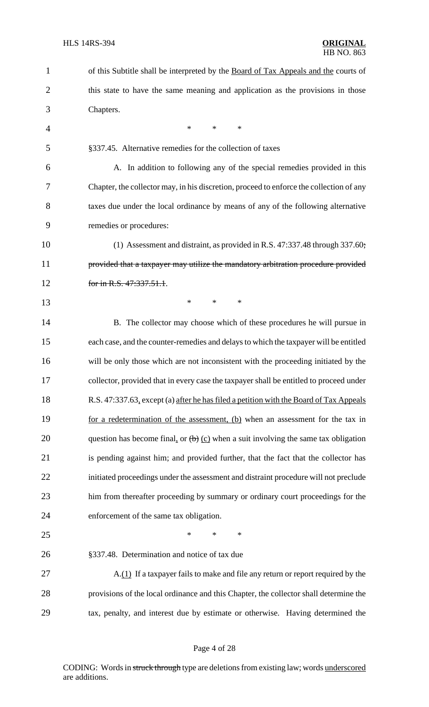| $\mathbf{1}$   | of this Subtitle shall be interpreted by the Board of Tax Appeals and the courts of     |
|----------------|-----------------------------------------------------------------------------------------|
| $\overline{2}$ | this state to have the same meaning and application as the provisions in those          |
| 3              | Chapters.                                                                               |
| $\overline{4}$ | *<br>$\ast$<br>$\ast$                                                                   |
| 5              | §337.45. Alternative remedies for the collection of taxes                               |
| 6              | A. In addition to following any of the special remedies provided in this                |
| 7              | Chapter, the collector may, in his discretion, proceed to enforce the collection of any |
| 8              | taxes due under the local ordinance by means of any of the following alternative        |
| 9              | remedies or procedures:                                                                 |
| 10             | (1) Assessment and distraint, as provided in R.S. 47:337.48 through 337.60;             |
| 11             | provided that a taxpayer may utilize the mandatory arbitration procedure provided       |
| 12             | for in R.S. 47:337.51.1.                                                                |
| 13             | *<br>$\ast$<br>*                                                                        |
| 14             | B. The collector may choose which of these procedures he will pursue in                 |
| 15             | each case, and the counter-remedies and delays to which the taxpayer will be entitled   |
| 16             | will be only those which are not inconsistent with the proceeding initiated by the      |
| 17             | collector, provided that in every case the taxpayer shall be entitled to proceed under  |
| 18             | R.S. 47:337.63, except (a) after he has filed a petition with the Board of Tax Appeals  |
| 19             | for a redetermination of the assessment, (b) when an assessment for the tax in          |
| 20             | question has become final, or $(b)$ (c) when a suit involving the same tax obligation   |
| 21             | is pending against him; and provided further, that the fact that the collector has      |
| 22             | initiated proceedings under the assessment and distraint procedure will not preclude    |
| 23             | him from thereafter proceeding by summary or ordinary court proceedings for the         |
| 24             | enforcement of the same tax obligation.                                                 |
| 25             | $\ast$<br>*<br>*                                                                        |
| 26             | §337.48. Determination and notice of tax due                                            |
| 27             | A.(1) If a taxpayer fails to make and file any return or report required by the         |
| 28             | provisions of the local ordinance and this Chapter, the collector shall determine the   |
| 29             | tax, penalty, and interest due by estimate or otherwise. Having determined the          |
|                |                                                                                         |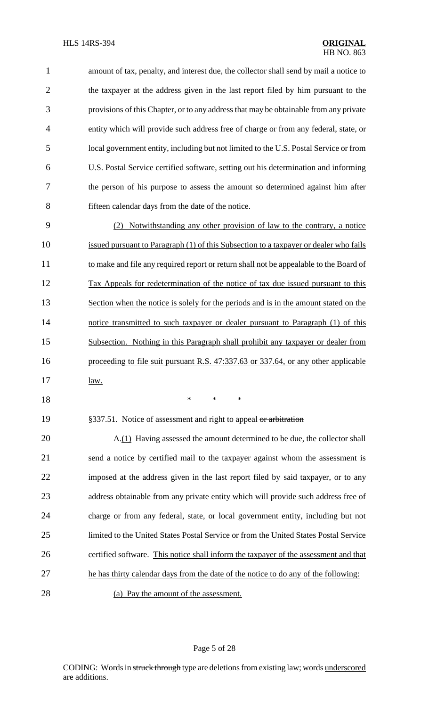amount of tax, penalty, and interest due, the collector shall send by mail a notice to the taxpayer at the address given in the last report filed by him pursuant to the provisions of this Chapter, or to any addressthat may be obtainable from any private entity which will provide such address free of charge or from any federal, state, or local government entity, including but not limited to the U.S. Postal Service or from U.S. Postal Service certified software, setting out his determination and informing the person of his purpose to assess the amount so determined against him after fifteen calendar days from the date of the notice.

 (2) Notwithstanding any other provision of law to the contrary, a notice 10 issued pursuant to Paragraph (1) of this Subsection to a taxpayer or dealer who fails 11 to make and file any required report or return shall not be appealable to the Board of Tax Appeals for redetermination of the notice of tax due issued pursuant to this 13 Section when the notice is solely for the periods and is in the amount stated on the notice transmitted to such taxpayer or dealer pursuant to Paragraph (1) of this Subsection. Nothing in this Paragraph shall prohibit any taxpayer or dealer from proceeding to file suit pursuant R.S. 47:337.63 or 337.64, or any other applicable 17 <u>law.</u>

\* \* \*

19 §337.51. Notice of assessment and right to appeal or arbitration

 A.(1) Having assessed the amount determined to be due, the collector shall send a notice by certified mail to the taxpayer against whom the assessment is imposed at the address given in the last report filed by said taxpayer, or to any address obtainable from any private entity which will provide such address free of charge or from any federal, state, or local government entity, including but not limited to the United States Postal Service or from the United States Postal Service certified software. This notice shall inform the taxpayer of the assessment and that 27 he has thirty calendar days from the date of the notice to do any of the following: (a) Pay the amount of the assessment.

Page 5 of 28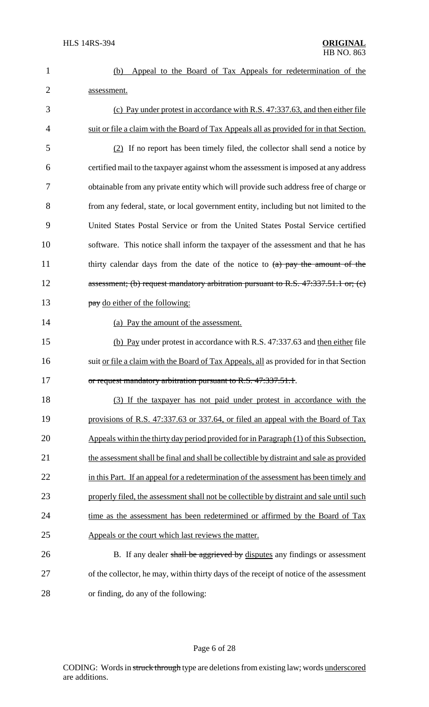|             |  |  |  | (b) Appeal to the Board of Tax Appeals for redetermination of the |  |
|-------------|--|--|--|-------------------------------------------------------------------|--|
| assessment. |  |  |  |                                                                   |  |

| 3              | (c) Pay under protest in accordance with R.S. 47:337.63, and then either file            |
|----------------|------------------------------------------------------------------------------------------|
| $\overline{4}$ | suit or file a claim with the Board of Tax Appeals all as provided for in that Section.  |
| 5              | (2) If no report has been timely filed, the collector shall send a notice by             |
| 6              | certified mail to the taxpayer against whom the assessment is imposed at any address     |
| 7              | obtainable from any private entity which will provide such address free of charge or     |
| 8              | from any federal, state, or local government entity, including but not limited to the    |
| 9              | United States Postal Service or from the United States Postal Service certified          |
| 10             | software. This notice shall inform the taxpayer of the assessment and that he has        |
| 11             | thirty calendar days from the date of the notice to $(a)$ pay the amount of the          |
| 12             | assessment; (b) request mandatory arbitration pursuant to R.S. 47:337.51.1 or; (c)       |
| 13             | pay do either of the following:                                                          |
| 14             | (a) Pay the amount of the assessment.                                                    |
| 15             | (b) Pay under protest in accordance with R.S. 47:337.63 and then either file             |
| 16             | suit or file a claim with the Board of Tax Appeals, all as provided for in that Section  |
| 17             | or request mandatory arbitration pursuant to R.S. 47:337.51.1.                           |
| 18             | (3) If the taxpayer has not paid under protest in accordance with the                    |
| 19             | provisions of R.S. 47:337.63 or 337.64, or filed an appeal with the Board of Tax         |
| 20             | Appeals within the thirty day period provided for in Paragraph (1) of this Subsection,   |
| 21             | the assessment shall be final and shall be collectible by distraint and sale as provided |
| 22             | in this Part. If an appeal for a redetermination of the assessment has been timely and   |
| 23             | properly filed, the assessment shall not be collectible by distraint and sale until such |
| 24             | time as the assessment has been redetermined or affirmed by the Board of Tax             |
| 25             | Appeals or the court which last reviews the matter.                                      |
| 26             | B. If any dealer shall be aggrieved by disputes any findings or assessment               |
| 27             | of the collector, he may, within thirty days of the receipt of notice of the assessment  |

28 or finding, do any of the following: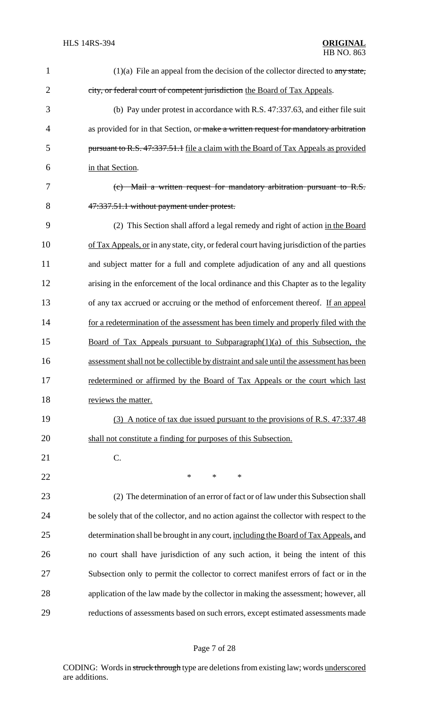| $\mathbf{1}$   | $(1)(a)$ File an appeal from the decision of the collector directed to any state,          |
|----------------|--------------------------------------------------------------------------------------------|
| $\overline{2}$ | city, or federal court of competent jurisdiction the Board of Tax Appeals.                 |
| 3              | (b) Pay under protest in accordance with R.S. 47:337.63, and either file suit              |
| $\overline{4}$ | as provided for in that Section, or make a written request for mandatory arbitration       |
| 5              | pursuant to R.S. 47:337.51.1 file a claim with the Board of Tax Appeals as provided        |
| 6              | in that Section.                                                                           |
| 7              | (c) Mail a written request for mandatory arbitration pursuant to R.S.                      |
| 8              | 47:337.51.1 without payment under protest.                                                 |
| 9              | (2) This Section shall afford a legal remedy and right of action in the Board              |
| 10             | of Tax Appeals, or in any state, city, or federal court having jurisdiction of the parties |
| 11             | and subject matter for a full and complete adjudication of any and all questions           |
| 12             | arising in the enforcement of the local ordinance and this Chapter as to the legality      |
| 13             | of any tax accrued or accruing or the method of enforcement thereof. If an appeal          |
| 14             | for a redetermination of the assessment has been timely and properly filed with the        |
| 15             | Board of Tax Appeals pursuant to Subparagraph $(1)(a)$ of this Subsection, the             |
| 16             | assessment shall not be collectible by distraint and sale until the assessment has been    |
| 17             | redetermined or affirmed by the Board of Tax Appeals or the court which last               |
| 18             | reviews the matter.                                                                        |
| 19             | (3) A notice of tax due issued pursuant to the provisions of R.S. 47:337.48                |
| 20             | shall not constitute a finding for purposes of this Subsection.                            |
| 21             | C.                                                                                         |
| 22             | ∗<br>$\ast$<br>∗                                                                           |
| 23             | (2) The determination of an error of fact or of law under this Subsection shall            |
| 24             | be solely that of the collector, and no action against the collector with respect to the   |
| 25             | determination shall be brought in any court, including the Board of Tax Appeals, and       |
| 26             | no court shall have jurisdiction of any such action, it being the intent of this           |
| 27             | Subsection only to permit the collector to correct manifest errors of fact or in the       |
| 28             | application of the law made by the collector in making the assessment; however, all        |
| 29             | reductions of assessments based on such errors, except estimated assessments made          |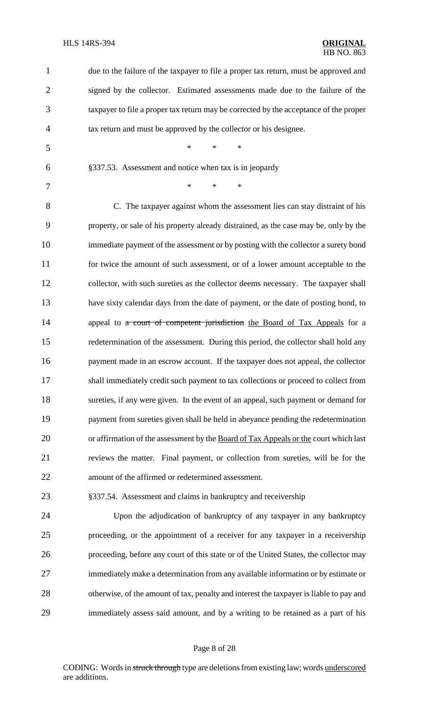| $\mathbf{1}$   | due to the failure of the taxpayer to file a proper tax return, must be approved and    |
|----------------|-----------------------------------------------------------------------------------------|
| $\overline{2}$ | signed by the collector. Estimated assessments made due to the failure of the           |
| 3              | taxpayer to file a proper tax return may be corrected by the acceptance of the proper   |
| $\overline{4}$ | tax return and must be approved by the collector or his designee.                       |
| 5              | $\ast$<br>$\ast$<br>*                                                                   |
| 6              | §337.53. Assessment and notice when tax is in jeopardy                                  |
| 7              | *<br>*<br>∗                                                                             |
| 8              | C. The taxpayer against whom the assessment lies can stay distraint of his              |
| 9              | property, or sale of his property already distrained, as the case may be, only by the   |
| 10             | immediate payment of the assessment or by posting with the collector a surety bond      |
| 11             | for twice the amount of such assessment, or of a lower amount acceptable to the         |
| 12             | collector, with such sureties as the collector deems necessary. The taxpayer shall      |
| 13             | have sixty calendar days from the date of payment, or the date of posting bond, to      |
| 14             | appeal to a court of competent jurisdiction the Board of Tax Appeals for a              |
| 15             | redetermination of the assessment. During this period, the collector shall hold any     |
| 16             | payment made in an escrow account. If the taxpayer does not appeal, the collector       |
| 17             | shall immediately credit such payment to tax collections or proceed to collect from     |
| 18             | sureties, if any were given. In the event of an appeal, such payment or demand for      |
| 19             | payment from sureties given shall be held in abeyance pending the redetermination       |
| 20             | or affirmation of the assessment by the Board of Tax Appeals or the court which last    |
| 21             | reviews the matter. Final payment, or collection from sureties, will be for the         |
| 22             | amount of the affirmed or redetermined assessment.                                      |
| 23             | §337.54. Assessment and claims in bankruptcy and receivership                           |
| 24             | Upon the adjudication of bankruptcy of any taxpayer in any bankruptcy                   |
| 25             | proceeding, or the appointment of a receiver for any taxpayer in a receivership         |
| 26             | proceeding, before any court of this state or of the United States, the collector may   |
| 27             | immediately make a determination from any available information or by estimate or       |
| 28             | otherwise, of the amount of tax, penalty and interest the taxpayer is liable to pay and |
| 29             | immediately assess said amount, and by a writing to be retained as a part of his        |

# Page 8 of 28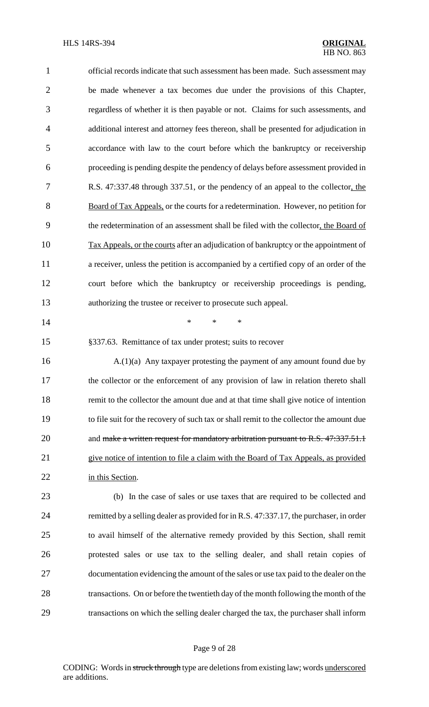| $\mathbf{1}$   | official records indicate that such assessment has been made. Such assessment may        |
|----------------|------------------------------------------------------------------------------------------|
| $\overline{2}$ | be made whenever a tax becomes due under the provisions of this Chapter,                 |
| 3              | regardless of whether it is then payable or not. Claims for such assessments, and        |
| $\overline{4}$ | additional interest and attorney fees thereon, shall be presented for adjudication in    |
| 5              | accordance with law to the court before which the bankruptcy or receivership             |
| 6              | proceeding is pending despite the pendency of delays before assessment provided in       |
| 7              | R.S. 47:337.48 through 337.51, or the pendency of an appeal to the collector, the        |
| 8              | Board of Tax Appeals, or the courts for a redetermination. However, no petition for      |
| 9              | the redetermination of an assessment shall be filed with the collector, the Board of     |
| 10             | Tax Appeals, or the courts after an adjudication of bankruptcy or the appointment of     |
| 11             | a receiver, unless the petition is accompanied by a certified copy of an order of the    |
| 12             | court before which the bankruptcy or receivership proceedings is pending,                |
| 13             | authorizing the trustee or receiver to prosecute such appeal.                            |
| 14             | $\ast$<br>*<br>$\ast$                                                                    |
| 15             | §337.63. Remittance of tax under protest; suits to recover                               |
| 16             | $A(1)(a)$ Any taxpayer protesting the payment of any amount found due by                 |
| 17             | the collector or the enforcement of any provision of law in relation thereto shall       |
| 18             | remit to the collector the amount due and at that time shall give notice of intention    |
| 19             | to file suit for the recovery of such tax or shall remit to the collector the amount due |
| 20             | and make a written request for mandatory arbitration pursuant to R.S. 47:337.51.1        |
| 21             | give notice of intention to file a claim with the Board of Tax Appeals, as provided      |
| 22             | in this Section.                                                                         |
| 23             | (b) In the case of sales or use taxes that are required to be collected and              |
| 24             | remitted by a selling dealer as provided for in R.S. 47:337.17, the purchaser, in order  |
| 25             | to avail himself of the alternative remedy provided by this Section, shall remit         |
| 26             | protested sales or use tax to the selling dealer, and shall retain copies of             |
| 27             | documentation evidencing the amount of the sales or use tax paid to the dealer on the    |
| 28             | transactions. On or before the twentieth day of the month following the month of the     |
| 29             | transactions on which the selling dealer charged the tax, the purchaser shall inform     |
|                |                                                                                          |

# Page 9 of 28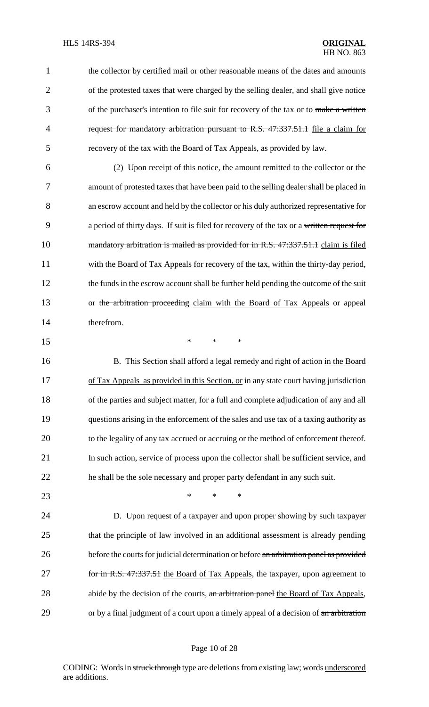1 the collector by certified mail or other reasonable means of the dates and amounts 2 of the protested taxes that were charged by the selling dealer, and shall give notice 3 of the purchaser's intention to file suit for recovery of the tax or to make a written 4 request for mandatory arbitration pursuant to R.S. 47:337.51.1 file a claim for 5 recovery of the tax with the Board of Tax Appeals, as provided by law.

6 (2) Upon receipt of this notice, the amount remitted to the collector or the 7 amount of protested taxes that have been paid to the selling dealer shall be placed in 8 an escrow account and held by the collector or his duly authorized representative for 9 a period of thirty days. If suit is filed for recovery of the tax or a written request for 10 mandatory arbitration is mailed as provided for in R.S. 47:337.51.1 claim is filed 11 with the Board of Tax Appeals for recovery of the tax, within the thirty-day period, 12 the funds in the escrow account shall be further held pending the outcome of the suit 13 or the arbitration proceeding claim with the Board of Tax Appeals or appeal 14 therefrom.

 $15$  \* \* \*

16 B. This Section shall afford a legal remedy and right of action in the Board 17 of Tax Appeals as provided in this Section, or in any state court having jurisdiction 18 of the parties and subject matter, for a full and complete adjudication of any and all 19 questions arising in the enforcement of the sales and use tax of a taxing authority as 20 to the legality of any tax accrued or accruing or the method of enforcement thereof. 21 In such action, service of process upon the collector shall be sufficient service, and 22 he shall be the sole necessary and proper party defendant in any such suit.

23 **\*** \* \* \*

24 D. Upon request of a taxpayer and upon proper showing by such taxpayer 25 that the principle of law involved in an additional assessment is already pending 26 before the courts for judicial determination or before an arbitration panel as provided 27 for in R.S. 47:337.51 the Board of Tax Appeals, the taxpayer, upon agreement to 28 abide by the decision of the courts, an arbitration panel the Board of Tax Appeals, 29 or by a final judgment of a court upon a timely appeal of a decision of an arbitration

#### Page 10 of 28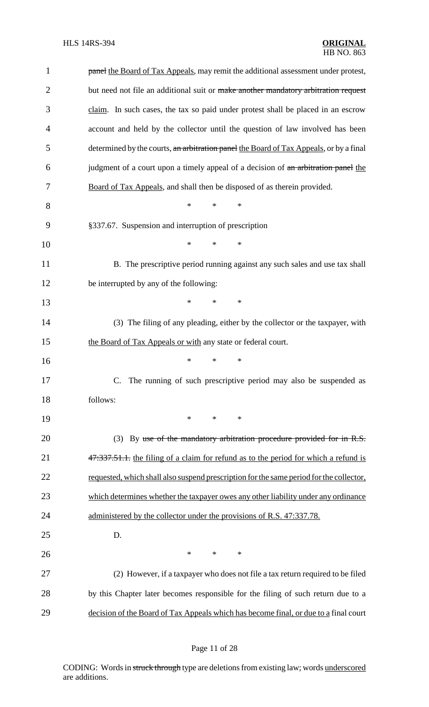| $\mathbf{1}$   | panel the Board of Tax Appeals, may remit the additional assessment under protest,      |
|----------------|-----------------------------------------------------------------------------------------|
| $\overline{2}$ | but need not file an additional suit or make another mandatory arbitration request      |
| 3              | claim. In such cases, the tax so paid under protest shall be placed in an escrow        |
| $\overline{4}$ | account and held by the collector until the question of law involved has been           |
| 5              | determined by the courts, an arbitration panel the Board of Tax Appeals, or by a final  |
| 6              | judgment of a court upon a timely appeal of a decision of an arbitration panel the      |
| 7              | Board of Tax Appeals, and shall then be disposed of as therein provided.                |
| 8              | $\ast$<br>$\ast$<br>$\ast$                                                              |
| 9              | §337.67. Suspension and interruption of prescription                                    |
| 10             | $\ast$<br>$\ast$<br>*                                                                   |
| 11             | B. The prescriptive period running against any such sales and use tax shall             |
| 12             | be interrupted by any of the following:                                                 |
| 13             | *<br>$\ast$<br>$\ast$                                                                   |
| 14             | (3) The filing of any pleading, either by the collector or the taxpayer, with           |
| 15             | the Board of Tax Appeals or with any state or federal court.                            |
| 16             | *<br>$\ast$<br>∗                                                                        |
| 17             | C. The running of such prescriptive period may also be suspended as                     |
| 18             | follows:                                                                                |
| 19             | $*$<br>$\ast$<br>$\ast$                                                                 |
| 20             | (3) By use of the mandatory arbitration procedure provided for in R.S.                  |
| 21             | 47.337.51.1. the filing of a claim for refund as to the period for which a refund is    |
| 22             | requested, which shall also suspend prescription for the same period for the collector, |
| 23             | which determines whether the taxpayer owes any other liability under any ordinance      |
| 24             | administered by the collector under the provisions of R.S. 47:337.78.                   |
| 25             | D.                                                                                      |
| 26             | $\ast$<br>$\ast$<br>$\ast$                                                              |
| 27             | (2) However, if a taxpayer who does not file a tax return required to be filed          |
| 28             | by this Chapter later becomes responsible for the filing of such return due to a        |
| 29             | decision of the Board of Tax Appeals which has become final, or due to a final court    |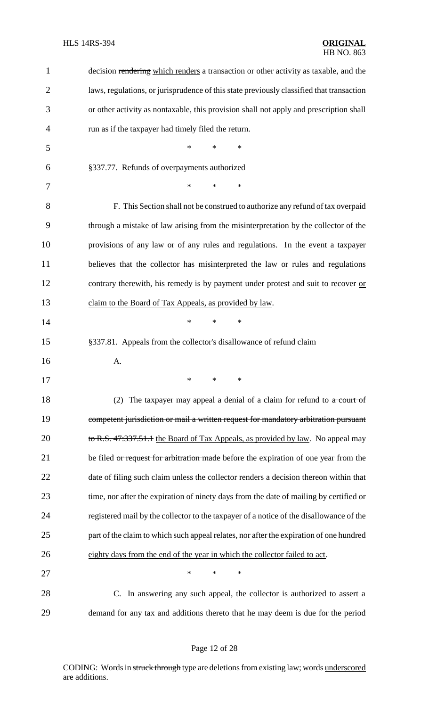| 1              | decision rendering which renders a transaction or other activity as taxable, and the     |
|----------------|------------------------------------------------------------------------------------------|
| $\overline{2}$ | laws, regulations, or jurisprudence of this state previously classified that transaction |
| 3              | or other activity as nontaxable, this provision shall not apply and prescription shall   |
| 4              | run as if the taxpayer had timely filed the return.                                      |
| 5              | *<br>*<br>*                                                                              |
| 6              | §337.77. Refunds of overpayments authorized                                              |
| 7              | *<br>*<br>*                                                                              |
| 8              | F. This Section shall not be construed to authorize any refund of tax overpaid           |
| 9              | through a mistake of law arising from the misinterpretation by the collector of the      |
| 10             | provisions of any law or of any rules and regulations. In the event a taxpayer           |
| 11             | believes that the collector has misinterpreted the law or rules and regulations          |
| 12             | contrary therewith, his remedy is by payment under protest and suit to recover or        |
| 13             | claim to the Board of Tax Appeals, as provided by law.                                   |
| 14             | $\ast$<br>*<br>*                                                                         |
| 15             | §337.81. Appeals from the collector's disallowance of refund claim                       |
| 16             | A.                                                                                       |
| 17             | and the contract of the contract of                                                      |
| 18             | (2) The taxpayer may appeal a denial of a claim for refund to $\alpha$ court of          |
| 19             | competent jurisdiction or mail a written request for mandatory arbitration pursuant      |
| 20             | to R.S. 47:337.51.1 the Board of Tax Appeals, as provided by law. No appeal may          |
| 21             | be filed or request for arbitration made before the expiration of one year from the      |
| 22             | date of filing such claim unless the collector renders a decision thereon within that    |
| 23             | time, nor after the expiration of ninety days from the date of mailing by certified or   |
| 24             | registered mail by the collector to the taxpayer of a notice of the disallowance of the  |
| 25             | part of the claim to which such appeal relates, nor after the expiration of one hundred  |
| 26             | eighty days from the end of the year in which the collector failed to act.               |
| 27             | $\ast$<br>*<br>*                                                                         |
| 28             | In answering any such appeal, the collector is authorized to assert a<br>$\mathbf{C}$ .  |
| 29             | demand for any tax and additions thereto that he may deem is due for the period          |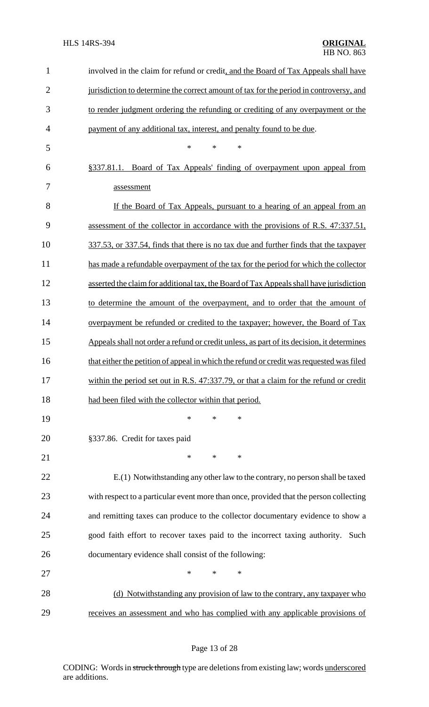| $\mathbf{1}$   | involved in the claim for refund or credit, and the Board of Tax Appeals shall have       |
|----------------|-------------------------------------------------------------------------------------------|
| $\overline{2}$ | jurisdiction to determine the correct amount of tax for the period in controversy, and    |
| 3              | to render judgment ordering the refunding or crediting of any overpayment or the          |
| $\overline{4}$ | payment of any additional tax, interest, and penalty found to be due.                     |
| 5              | ∗<br>$\ast$<br>∗                                                                          |
| 6              | §337.81.1. Board of Tax Appeals' finding of overpayment upon appeal from                  |
| 7              | assessment                                                                                |
| 8              | If the Board of Tax Appeals, pursuant to a hearing of an appeal from an                   |
| 9              | assessment of the collector in accordance with the provisions of R.S. 47:337.51,          |
| 10             | 337.53, or 337.54, finds that there is no tax due and further finds that the taxpayer     |
| 11             | has made a refundable overpayment of the tax for the period for which the collector       |
| 12             | asserted the claim for additional tax, the Board of Tax Appeals shall have jurisdiction   |
| 13             | to determine the amount of the overpayment, and to order that the amount of               |
| 14             | overpayment be refunded or credited to the taxpayer; however, the Board of Tax            |
| 15             | Appeals shall not order a refund or credit unless, as part of its decision, it determines |
| 16             | that either the petition of appeal in which the refund or credit was requested was filed  |
| 17             | within the period set out in R.S. 47:337.79, or that a claim for the refund or credit     |
| 18             | had been filed with the collector within that period.                                     |
| 19             | $\ast$<br>*<br>*                                                                          |
| 20             | §337.86. Credit for taxes paid                                                            |
| 21             | $\ast$<br>*<br>*                                                                          |
| 22             | E.(1) Notwithstanding any other law to the contrary, no person shall be taxed             |
| 23             | with respect to a particular event more than once, provided that the person collecting    |
| 24             | and remitting taxes can produce to the collector documentary evidence to show a           |
| 25             | good faith effort to recover taxes paid to the incorrect taxing authority. Such           |
| 26             | documentary evidence shall consist of the following:                                      |
| 27             | $\ast$<br>$\ast$<br>*                                                                     |
| 28             | (d) Notwithstanding any provision of law to the contrary, any taxpayer who                |
| 29             | receives an assessment and who has complied with any applicable provisions of             |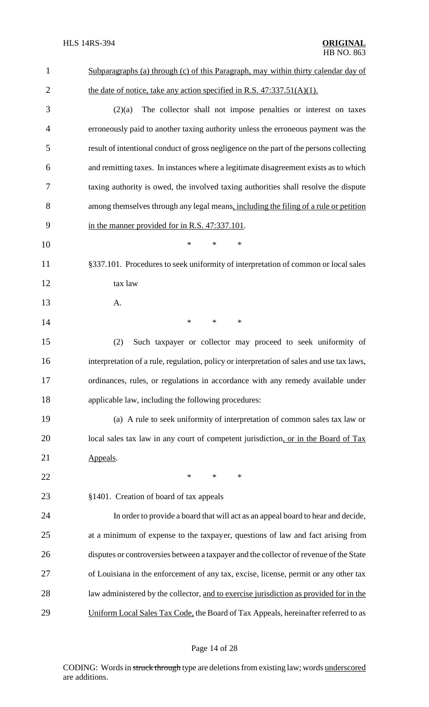| $\mathbf{1}$   | Subparagraphs (a) through (c) of this Paragraph, may within thirty calendar day of        |
|----------------|-------------------------------------------------------------------------------------------|
| $\overline{2}$ | the date of notice, take any action specified in R.S. $47:337.51(A)(1)$ .                 |
| 3              | The collector shall not impose penalties or interest on taxes<br>(2)(a)                   |
| $\overline{4}$ | erroneously paid to another taxing authority unless the erroneous payment was the         |
| 5              | result of intentional conduct of gross negligence on the part of the persons collecting   |
| 6              | and remitting taxes. In instances where a legitimate disagreement exists as to which      |
| 7              | taxing authority is owed, the involved taxing authorities shall resolve the dispute       |
| 8              | among themselves through any legal means, including the filing of a rule or petition      |
| 9              | in the manner provided for in R.S. 47:337.101.                                            |
| 10             | $\ast$<br>$\ast$<br>∗                                                                     |
| 11             | §337.101. Procedures to seek uniformity of interpretation of common or local sales        |
| 12             | tax law                                                                                   |
| 13             | A.                                                                                        |
| 14             | $\ast$<br>$\ast$<br>$\ast$                                                                |
| 15             | (2)<br>Such taxpayer or collector may proceed to seek uniformity of                       |
| 16             | interpretation of a rule, regulation, policy or interpretation of sales and use tax laws, |
| 17             | ordinances, rules, or regulations in accordance with any remedy available under           |
| 18             | applicable law, including the following procedures:                                       |
| 19             | (a) A rule to seek uniformity of interpretation of common sales tax law or                |
| 20             | local sales tax law in any court of competent jurisdiction, or in the Board of Tax        |
| 21             | Appeals.                                                                                  |
| 22             | *<br>$\ast$<br>$\ast$                                                                     |
| 23             | §1401. Creation of board of tax appeals                                                   |
| 24             | In order to provide a board that will act as an appeal board to hear and decide,          |
| 25             | at a minimum of expense to the taxpayer, questions of law and fact arising from           |
| 26             | disputes or controversies between a taxpayer and the collector of revenue of the State    |
| 27             | of Louisiana in the enforcement of any tax, excise, license, permit or any other tax      |
| 28             | law administered by the collector, and to exercise jurisdiction as provided for in the    |
| 29             | Uniform Local Sales Tax Code, the Board of Tax Appeals, hereinafter referred to as        |

# Page 14 of 28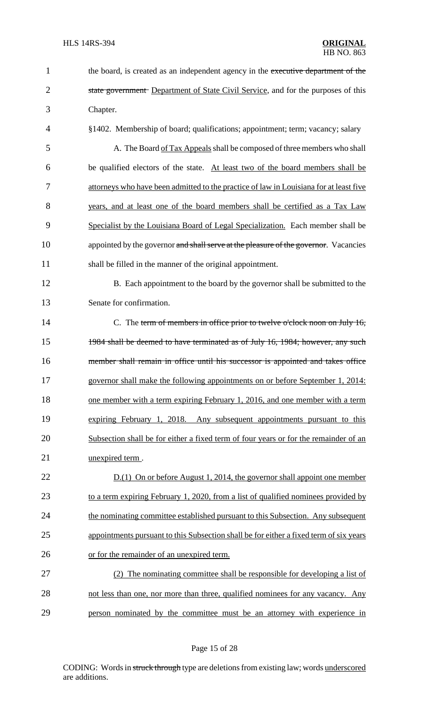| 1              | the board, is created as an independent agency in the executive department of the      |
|----------------|----------------------------------------------------------------------------------------|
| $\overline{2}$ | state government Department of State Civil Service, and for the purposes of this       |
| 3              | Chapter.                                                                               |
| 4              | §1402. Membership of board; qualifications; appointment; term; vacancy; salary         |
| 5              | A. The Board of Tax Appeals shall be composed of three members who shall               |
| 6              | be qualified electors of the state. At least two of the board members shall be         |
| 7              | attorneys who have been admitted to the practice of law in Louisiana for at least five |
| 8              | years, and at least one of the board members shall be certified as a Tax Law           |
| 9              | Specialist by the Louisiana Board of Legal Specialization. Each member shall be        |
| 10             | appointed by the governor and shall serve at the pleasure of the governor. Vacancies   |
| 11             | shall be filled in the manner of the original appointment.                             |
| 12             | B. Each appointment to the board by the governor shall be submitted to the             |
| 13             | Senate for confirmation.                                                               |
| 14             | C. The term of members in office prior to twelve o'clock noon on July 16,              |
| 15             | 1984 shall be deemed to have terminated as of July 16, 1984; however, any such         |
| 16             | member shall remain in office until his successor is appointed and takes office        |
| 17             | governor shall make the following appointments on or before September 1, 2014:         |
| 18             | one member with a term expiring February 1, 2016, and one member with a term           |
| 19             | expiring February 1, 2018. Any subsequent appointments pursuant to this                |
| 20             | Subsection shall be for either a fixed term of four years or for the remainder of an   |
| 21             | unexpired term.                                                                        |
| 22             | $D(1)$ On or before August 1, 2014, the governor shall appoint one member              |
| 23             | to a term expiring February 1, 2020, from a list of qualified nominees provided by     |
| 24             | the nominating committee established pursuant to this Subsection. Any subsequent       |
| 25             | appointments pursuant to this Subsection shall be for either a fixed term of six years |
| 26             | or for the remainder of an unexpired term.                                             |
| 27             | (2) The nominating committee shall be responsible for developing a list of             |
| 28             | not less than one, nor more than three, qualified nominees for any vacancy. Any        |
| 29             | person nominated by the committee must be an attorney with experience in               |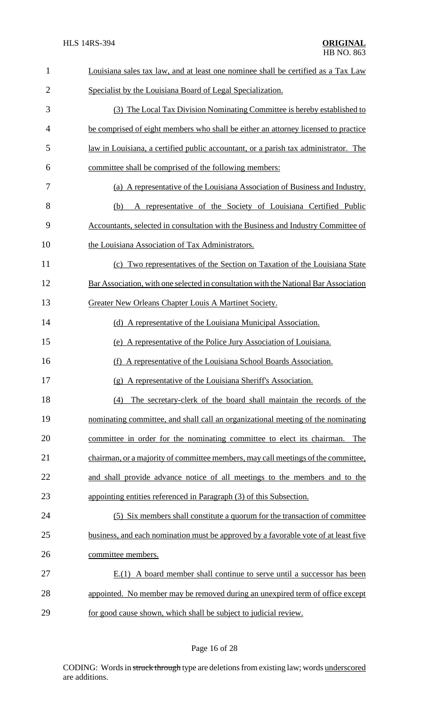| $\mathbf{1}$   | Louisiana sales tax law, and at least one nominee shall be certified as a Tax Law    |
|----------------|--------------------------------------------------------------------------------------|
| $\overline{2}$ | Specialist by the Louisiana Board of Legal Specialization.                           |
| 3              | (3) The Local Tax Division Nominating Committee is hereby established to             |
| 4              | be comprised of eight members who shall be either an attorney licensed to practice   |
| 5              | law in Louisiana, a certified public accountant, or a parish tax administrator. The  |
| 6              | committee shall be comprised of the following members:                               |
| 7              | (a) A representative of the Louisiana Association of Business and Industry.          |
| 8              | A representative of the Society of Louisiana Certified Public<br>(b)                 |
| 9              | Accountants, selected in consultation with the Business and Industry Committee of    |
| 10             | the Louisiana Association of Tax Administrators.                                     |
| 11             | (c) Two representatives of the Section on Taxation of the Louisiana State            |
| 12             | Bar Association, with one selected in consultation with the National Bar Association |
| 13             | Greater New Orleans Chapter Louis A Martinet Society.                                |
| 14             | (d) A representative of the Louisiana Municipal Association.                         |
| 15             | (e) A representative of the Police Jury Association of Louisiana.                    |
| 16             | A representative of the Louisiana School Boards Association.<br>(f)                  |
| 17             | (g) A representative of the Louisiana Sheriff's Association.                         |
| 18             | The secretary-clerk of the board shall maintain the records of the<br>(4)            |
| 19             | nominating committee, and shall call an organizational meeting of the nominating     |
| 20             | committee in order for the nominating committee to elect its chairman.<br>The        |
| 21             | chairman, or a majority of committee members, may call meetings of the committee,    |
| 22             | and shall provide advance notice of all meetings to the members and to the           |
| 23             | appointing entities referenced in Paragraph (3) of this Subsection.                  |
| 24             | (5) Six members shall constitute a quorum for the transaction of committee           |
| 25             | business, and each nomination must be approved by a favorable vote of at least five  |
| 26             | committee members.                                                                   |
| 27             | E.(1) A board member shall continue to serve until a successor has been              |
| 28             | appointed. No member may be removed during an unexpired term of office except        |
| 29             | for good cause shown, which shall be subject to judicial review.                     |

# Page 16 of 28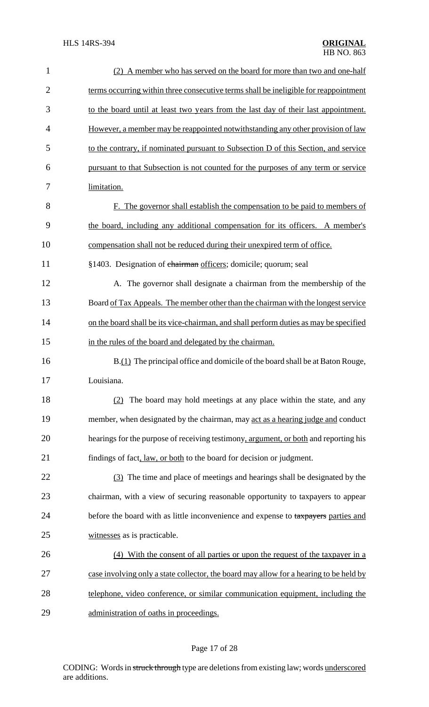| $\mathbf{1}$   | (2) A member who has served on the board for more than two and one-half                |
|----------------|----------------------------------------------------------------------------------------|
| $\overline{2}$ | terms occurring within three consecutive terms shall be ineligible for reappointment   |
| 3              | to the board until at least two years from the last day of their last appointment.     |
| $\overline{4}$ | However, a member may be reappointed notwithstanding any other provision of law        |
| 5              | to the contrary, if nominated pursuant to Subsection D of this Section, and service    |
| 6              | pursuant to that Subsection is not counted for the purposes of any term or service     |
| 7              | limitation.                                                                            |
| 8              | F. The governor shall establish the compensation to be paid to members of              |
| 9              | the board, including any additional compensation for its officers. A member's          |
| 10             | compensation shall not be reduced during their unexpired term of office.               |
| 11             | §1403. Designation of chairman officers; domicile; quorum; seal                        |
| 12             | A. The governor shall designate a chairman from the membership of the                  |
| 13             | Board of Tax Appeals. The member other than the chairman with the longest service      |
| 14             | on the board shall be its vice-chairman, and shall perform duties as may be specified  |
| 15             | in the rules of the board and delegated by the chairman.                               |
| 16             | B.(1) The principal office and domicile of the board shall be at Baton Rouge,          |
| 17             | Louisiana.                                                                             |
| 18             | (2) The board may hold meetings at any place within the state, and any                 |
| 19             | member, when designated by the chairman, may act as a hearing judge and conduct        |
| 20             | hearings for the purpose of receiving testimony, argument, or both and reporting his   |
| 21             | findings of fact, law, or both to the board for decision or judgment.                  |
| 22             | (3) The time and place of meetings and hearings shall be designated by the             |
| 23             | chairman, with a view of securing reasonable opportunity to taxpayers to appear        |
| 24             | before the board with as little inconvenience and expense to taxpayers parties and     |
| 25             | witnesses as is practicable.                                                           |
| 26             | (4) With the consent of all parties or upon the request of the taxpayer in a           |
| 27             | case involving only a state collector, the board may allow for a hearing to be held by |
| 28             | telephone, video conference, or similar communication equipment, including the         |
| 29             | administration of oaths in proceedings.                                                |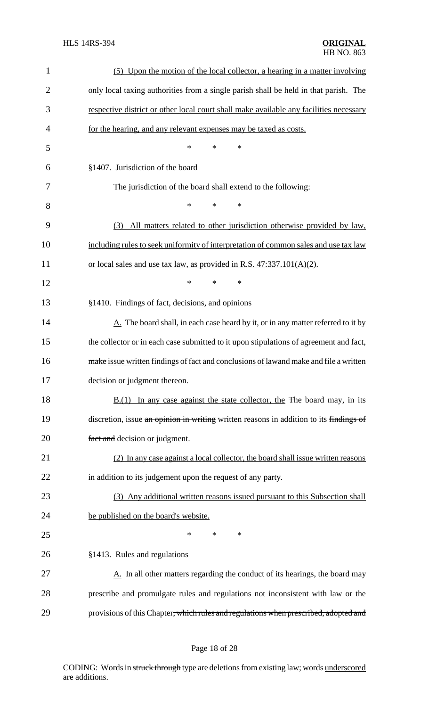| $\mathbf{1}$   | (5) Upon the motion of the local collector, a hearing in a matter involving                     |
|----------------|-------------------------------------------------------------------------------------------------|
| $\overline{2}$ | only local taxing authorities from a single parish shall be held in that parish. The            |
| 3              | respective district or other local court shall make available any facilities necessary          |
| 4              | for the hearing, and any relevant expenses may be taxed as costs.                               |
| 5              | *<br>*<br>*                                                                                     |
| 6              | §1407. Jurisdiction of the board                                                                |
| 7              | The jurisdiction of the board shall extend to the following:                                    |
| 8              | *<br>*<br>*                                                                                     |
| 9              | All matters related to other jurisdiction otherwise provided by law,<br>(3)                     |
| 10             | including rules to seek uniformity of interpretation of common sales and use tax law            |
| 11             | or local sales and use tax law, as provided in R.S. $47:337.101(A)(2)$ .                        |
| 12             | *<br>*<br>*                                                                                     |
| 13             | §1410. Findings of fact, decisions, and opinions                                                |
| 14             | $\underline{A}$ . The board shall, in each case heard by it, or in any matter referred to it by |
| 15             | the collector or in each case submitted to it upon stipulations of agreement and fact,          |
| 16             | make issue written findings of fact and conclusions of lawand make and file a written           |
| 17             | decision or judgment thereon.                                                                   |
| 18             | $B(1)$ In any case against the state collector, the The board may, in its                       |
| 19             | discretion, issue an opinion in writing written reasons in addition to its findings of          |
| 20             | fact and decision or judgment.                                                                  |
| 21             | (2) In any case against a local collector, the board shall issue written reasons                |
| 22             | in addition to its judgement upon the request of any party.                                     |
| 23             | (3) Any additional written reasons issued pursuant to this Subsection shall                     |
| 24             | be published on the board's website.                                                            |
| 25             | *<br>*<br>$\ast$                                                                                |
| 26             | §1413. Rules and regulations                                                                    |
| 27             | $\underline{A}$ . In all other matters regarding the conduct of its hearings, the board may     |
| 28             | prescribe and promulgate rules and regulations not inconsistent with law or the                 |
| 29             | provisions of this Chapter, which rules and regulations when prescribed, adopted and            |
|                |                                                                                                 |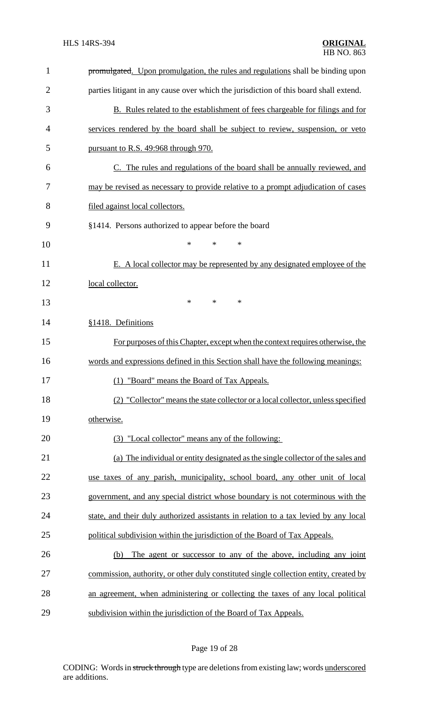| $\mathbf{1}$   | promulgated. Upon promulgation, the rules and regulations shall be binding upon       |
|----------------|---------------------------------------------------------------------------------------|
| $\overline{2}$ | parties litigant in any cause over which the jurisdiction of this board shall extend. |
| 3              | <b>B.</b> Rules related to the establishment of fees chargeable for filings and for   |
| 4              | services rendered by the board shall be subject to review, suspension, or veto        |
| 5              | pursuant to R.S. 49:968 through 970.                                                  |
| 6              | C. The rules and regulations of the board shall be annually reviewed, and             |
| 7              | may be revised as necessary to provide relative to a prompt adjudication of cases     |
| 8              | filed against local collectors.                                                       |
| 9              | §1414. Persons authorized to appear before the board                                  |
| 10             | *<br>$\ast$<br>∗                                                                      |
| 11             | E. A local collector may be represented by any designated employee of the             |
| 12             | local collector.                                                                      |
| 13             | *<br>$\ast$<br>∗                                                                      |
| 14             | §1418. Definitions                                                                    |
| 15             | For purposes of this Chapter, except when the context requires otherwise, the         |
| 16             | words and expressions defined in this Section shall have the following meanings:      |
| 17             | (1) "Board" means the Board of Tax Appeals.                                           |
| 18             | (2) "Collector" means the state collector or a local collector, unless specified      |
| 19             | otherwise.                                                                            |
| 20             | (3) "Local collector" means any of the following:                                     |
| 21             | (a) The individual or entity designated as the single collector of the sales and      |
| 22             | use taxes of any parish, municipality, school board, any other unit of local          |
| 23             | government, and any special district whose boundary is not coterminous with the       |
| 24             | state, and their duly authorized assistants in relation to a tax levied by any local  |
| 25             | political subdivision within the jurisdiction of the Board of Tax Appeals.            |
| 26             | The agent or successor to any of the above, including any joint<br>(b)                |
| 27             | commission, authority, or other duly constituted single collection entity, created by |
| 28             | an agreement, when administering or collecting the taxes of any local political       |
| 29             | subdivision within the jurisdiction of the Board of Tax Appeals.                      |

# Page 19 of 28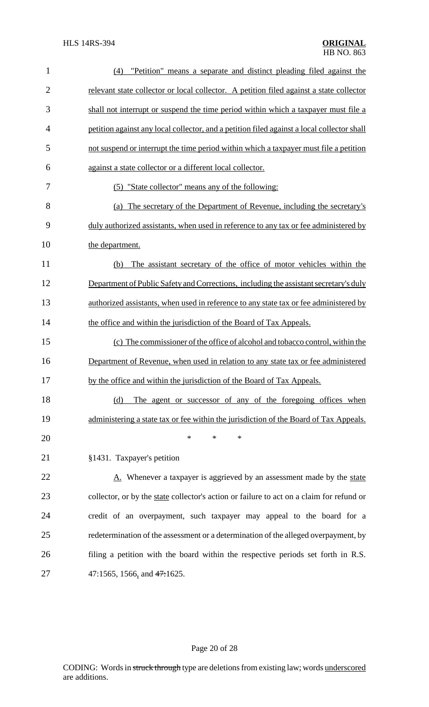| $\mathbf{1}$   | "Petition" means a separate and distinct pleading filed against the<br>(4)                 |
|----------------|--------------------------------------------------------------------------------------------|
| $\overline{2}$ | relevant state collector or local collector. A petition filed against a state collector    |
| 3              | shall not interrupt or suspend the time period within which a taxpayer must file a         |
| $\overline{4}$ | petition against any local collector, and a petition filed against a local collector shall |
| 5              | not suspend or interrupt the time period within which a taxpayer must file a petition      |
| 6              | against a state collector or a different local collector.                                  |
| 7              | (5) "State collector" means any of the following:                                          |
| 8              | (a) The secretary of the Department of Revenue, including the secretary's                  |
| 9              | duly authorized assistants, when used in reference to any tax or fee administered by       |
| 10             | the department.                                                                            |
| 11             | The assistant secretary of the office of motor vehicles within the<br>(b)                  |
| 12             | Department of Public Safety and Corrections, including the assistant secretary's duly      |
| 13             | authorized assistants, when used in reference to any state tax or fee administered by      |
| 14             | the office and within the jurisdiction of the Board of Tax Appeals.                        |
| 15             | (c) The commissioner of the office of alcohol and tobacco control, within the              |
| 16             | Department of Revenue, when used in relation to any state tax or fee administered          |
| 17             | by the office and within the jurisdiction of the Board of Tax Appeals.                     |
| 18             | The agent or successor of any of the foregoing offices when<br>(d)                         |
| 19             | administering a state tax or fee within the jurisdiction of the Board of Tax Appeals.      |
| 20             | $\ast$<br>*<br>*                                                                           |
| 21             | §1431. Taxpayer's petition                                                                 |
| 22             | A. Whenever a taxpayer is aggrieved by an assessment made by the state                     |
| 23             | collector, or by the state collector's action or failure to act on a claim for refund or   |
| 24             | credit of an overpayment, such taxpayer may appeal to the board for a                      |
| 25             | redetermination of the assessment or a determination of the alleged overpayment, by        |
| 26             | filing a petition with the board within the respective periods set forth in R.S.           |
| 27             | 47:1565, 1566, and $47:1625$ .                                                             |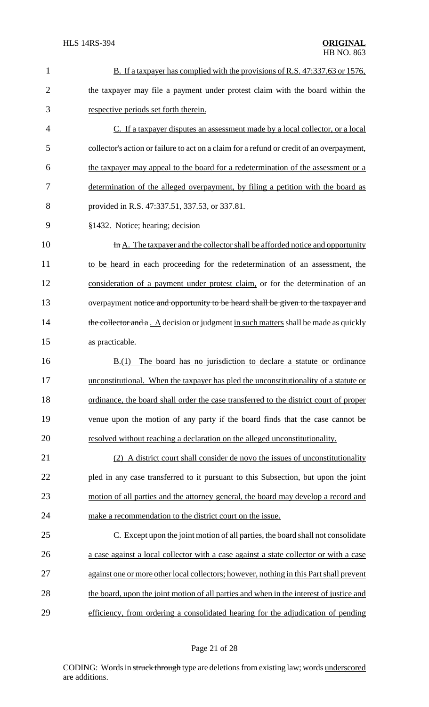| $\mathbf{1}$   | B. If a taxpayer has complied with the provisions of R.S. 47:337.63 or 1576,                |
|----------------|---------------------------------------------------------------------------------------------|
| $\overline{2}$ | the taxpayer may file a payment under protest claim with the board within the               |
| 3              | respective periods set forth therein.                                                       |
| $\overline{4}$ | C. If a taxpayer disputes an assessment made by a local collector, or a local               |
| 5              | collector's action or failure to act on a claim for a refund or credit of an overpayment,   |
| 6              | the taxpayer may appeal to the board for a redetermination of the assessment or a           |
| 7              | determination of the alleged overpayment, by filing a petition with the board as            |
| 8              | provided in R.S. 47:337.51, 337.53, or 337.81.                                              |
| 9              | §1432. Notice; hearing; decision                                                            |
| 10             | In A. The taxpayer and the collector shall be afforded notice and opportunity               |
| 11             | to be heard in each proceeding for the redetermination of an assessment, the                |
| 12             | consideration of a payment under protest claim, or for the determination of an              |
| 13             | overpayment notice and opportunity to be heard shall be given to the taxpayer and           |
| 14             | the collector and $a \cdot A$ decision or judgment in such matters shall be made as quickly |
| 15             | as practicable.                                                                             |
| 16             | The board has no jurisdiction to declare a statute or ordinance<br>B(1)                     |
| 17             | unconstitutional. When the taxpayer has pled the unconstitutionality of a statute or        |
| 18             | ordinance, the board shall order the case transferred to the district court of proper       |
| 19             | venue upon the motion of any party if the board finds that the case cannot be               |
| 20             | resolved without reaching a declaration on the alleged unconstitutionality.                 |
| 21             | (2) A district court shall consider de novo the issues of unconstitutionality               |
| 22             | pled in any case transferred to it pursuant to this Subsection, but upon the joint          |
| 23             | motion of all parties and the attorney general, the board may develop a record and          |
| 24             | make a recommendation to the district court on the issue.                                   |
| 25             | C. Except upon the joint motion of all parties, the board shall not consolidate             |
| 26             | a case against a local collector with a case against a state collector or with a case       |
| 27             | against one or more other local collectors; however, nothing in this Part shall prevent     |
| 28             | the board, upon the joint motion of all parties and when in the interest of justice and     |
| 29             | efficiency, from ordering a consolidated hearing for the adjudication of pending            |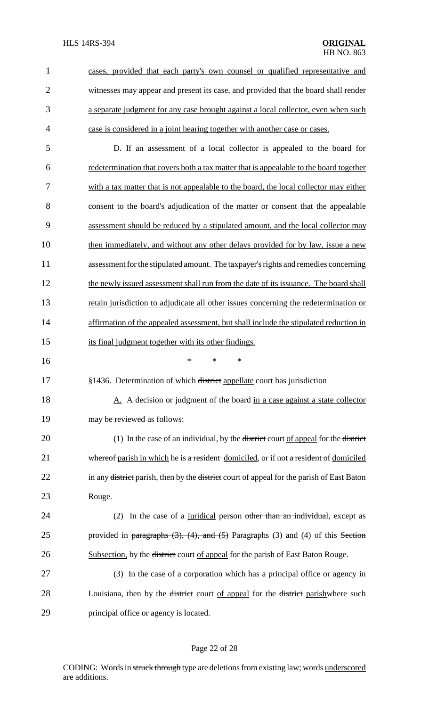| $\mathbf{1}$   | cases, provided that each party's own counsel or qualified representative and                                   |
|----------------|-----------------------------------------------------------------------------------------------------------------|
| $\overline{2}$ | witnesses may appear and present its case, and provided that the board shall render                             |
| 3              | a separate judgment for any case brought against a local collector, even when such                              |
| $\overline{4}$ | case is considered in a joint hearing together with another case or cases.                                      |
| 5              | D. If an assessment of a local collector is appealed to the board for                                           |
| 6              | redetermination that covers both a tax matter that is appealable to the board together                          |
| 7              | with a tax matter that is not appealable to the board, the local collector may either                           |
| 8              | consent to the board's adjudication of the matter or consent that the appealable                                |
| 9              | assessment should be reduced by a stipulated amount, and the local collector may                                |
| 10             | then immediately, and without any other delays provided for by law, issue a new                                 |
| 11             | assessment for the stipulated amount. The taxpayer's rights and remedies concerning                             |
| 12             | the newly issued assessment shall run from the date of its issuance. The board shall                            |
| 13             | retain jurisdiction to adjudicate all other issues concerning the redetermination or                            |
| 14             | affirmation of the appealed assessment, but shall include the stipulated reduction in                           |
| 15             | its final judgment together with its other findings.                                                            |
| 16             | $\ast$<br>$\ast$<br>$\ast$                                                                                      |
| 17             | §1436. Determination of which district appellate court has jurisdiction                                         |
| 18             | A. A decision or judgment of the board in a case against a state collector                                      |
| 19             | may be reviewed as follows:                                                                                     |
| 20             | (1) In the case of an individual, by the <del>district</del> court of appeal for the district                   |
| 21             | whereof parish in which he is a resident domiciled, or if not a resident of domiciled                           |
| 22             | in any <del>district</del> parish, then by the <del>district</del> court of appeal for the parish of East Baton |
| 23             | Rouge.                                                                                                          |
| 24             | In the case of a juridical person other than an individual, except as<br>(2)                                    |
| 25             | provided in paragraphs $(3)$ , $(4)$ , and $(5)$ Paragraphs $(3)$ and $(4)$ of this Section                     |
| 26             | Subsection, by the district court of appeal for the parish of East Baton Rouge.                                 |
| 27             | (3) In the case of a corporation which has a principal office or agency in                                      |
| 28             | Louisiana, then by the <del>district</del> court of appeal for the <del>district</del> parishwhere such         |
| 29             | principal office or agency is located.                                                                          |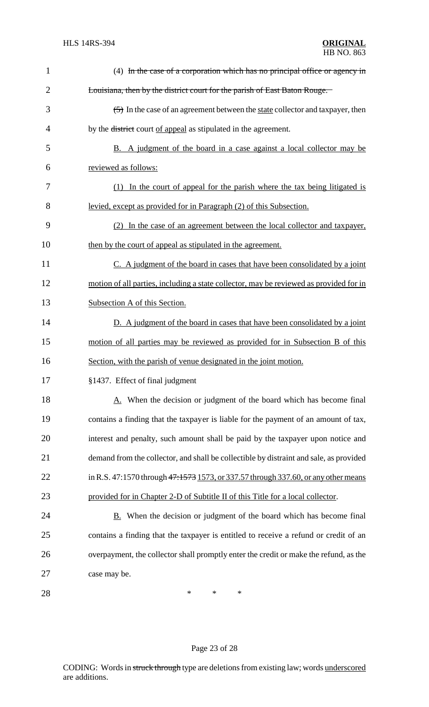| $\mathbf{1}$   | (4) In the case of a corporation which has no principal office or agency in            |
|----------------|----------------------------------------------------------------------------------------|
| $\overline{2}$ | Louisiana, then by the district court for the parish of East Baton Rouge.              |
| 3              | (5) In the case of an agreement between the state collector and taxpayer, then         |
| 4              | by the <del>district</del> court of appeal as stipulated in the agreement.             |
| 5              | B. A judgment of the board in a case against a local collector may be                  |
| 6              | reviewed as follows:                                                                   |
| 7              | (1) In the court of appeal for the parish where the tax being litigated is             |
| 8              | levied, except as provided for in Paragraph (2) of this Subsection.                    |
| 9              | (2) In the case of an agreement between the local collector and taxpayer,              |
| 10             | then by the court of appeal as stipulated in the agreement.                            |
| 11             | C. A judgment of the board in cases that have been consolidated by a joint             |
| 12             | motion of all parties, including a state collector, may be reviewed as provided for in |
| 13             | Subsection A of this Section.                                                          |
| 14             | D. A judgment of the board in cases that have been consolidated by a joint             |
| 15             | motion of all parties may be reviewed as provided for in Subsection B of this          |
| 16             | Section, with the parish of venue designated in the joint motion.                      |
| 17             | §1437. Effect of final judgment                                                        |
| 18             | A. When the decision or judgment of the board which has become final                   |
| 19             | contains a finding that the taxpayer is liable for the payment of an amount of tax,    |
| 20             | interest and penalty, such amount shall be paid by the taxpayer upon notice and        |
| 21             | demand from the collector, and shall be collectible by distraint and sale, as provided |
| 22             | in R.S. 47:1570 through 47:1573 1573, or 337.57 through 337.60, or any other means     |
| 23             | provided for in Chapter 2-D of Subtitle II of this Title for a local collector.        |
| 24             | B. When the decision or judgment of the board which has become final                   |
| 25             | contains a finding that the taxpayer is entitled to receive a refund or credit of an   |
| 26             | overpayment, the collector shall promptly enter the credit or make the refund, as the  |
| 27             | case may be.                                                                           |
| 28             | *<br>*<br>∗                                                                            |

# Page 23 of 28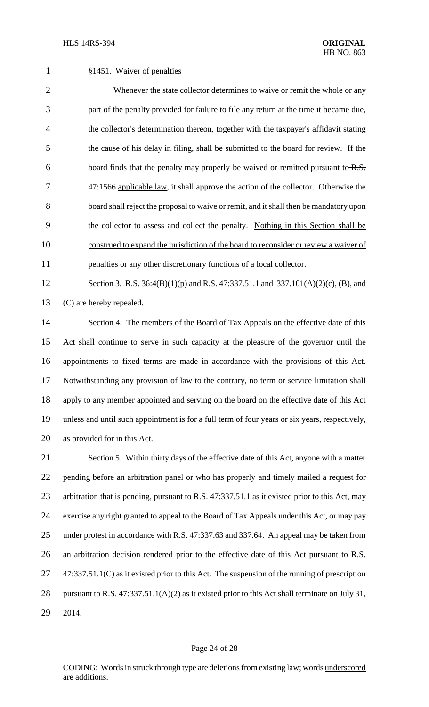§1451. Waiver of penalties 2 Whenever the state collector determines to waive or remit the whole or any part of the penalty provided for failure to file any return at the time it became due, 4 the collector's determination thereon, together with the taxpayer's affidavit stating 5 the cause of his delay in filing, shall be submitted to the board for review. If the 6 board finds that the penalty may properly be waived or remitted pursuant to  $R.S.$ 7 47:1566 applicable law, it shall approve the action of the collector. Otherwise the 8 board shall reject the proposal to waive or remit, and it shall then be mandatory upon the collector to assess and collect the penalty. Nothing in this Section shall be

 construed to expand the jurisdiction of the board to reconsider or review a waiver of 11 penalties or any other discretionary functions of a local collector.

 Section 3. R.S. 36:4(B)(1)(p) and R.S. 47:337.51.1 and 337.101(A)(2)(c), (B), and (C) are hereby repealed.

 Section 4. The members of the Board of Tax Appeals on the effective date of this Act shall continue to serve in such capacity at the pleasure of the governor until the appointments to fixed terms are made in accordance with the provisions of this Act. Notwithstanding any provision of law to the contrary, no term or service limitation shall apply to any member appointed and serving on the board on the effective date of this Act unless and until such appointment is for a full term of four years or six years, respectively, as provided for in this Act.

 Section 5. Within thirty days of the effective date of this Act, anyone with a matter pending before an arbitration panel or who has properly and timely mailed a request for arbitration that is pending, pursuant to R.S. 47:337.51.1 as it existed prior to this Act, may exercise any right granted to appeal to the Board of Tax Appeals under this Act, or may pay under protest in accordance with R.S. 47:337.63 and 337.64. An appeal may be taken from an arbitration decision rendered prior to the effective date of this Act pursuant to R.S. 47:337.51.1(C) as it existed prior to this Act. The suspension of the running of prescription pursuant to R.S. 47:337.51.1(A)(2) as it existed prior to this Act shall terminate on July 31, 2014.

#### Page 24 of 28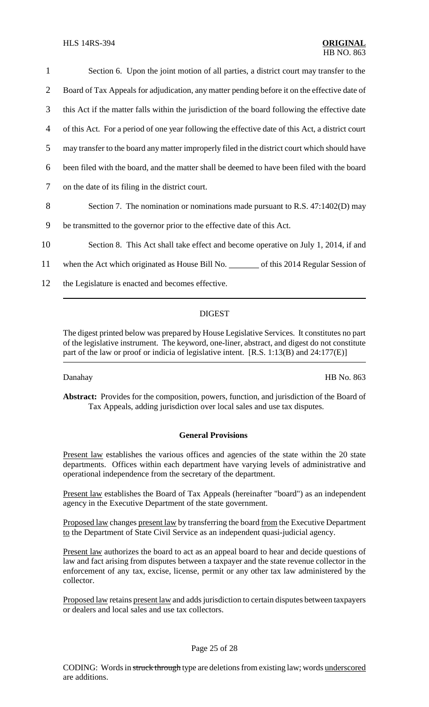| 1              | Section 6. Upon the joint motion of all parties, a district court may transfer to the            |
|----------------|--------------------------------------------------------------------------------------------------|
| $\overline{2}$ | Board of Tax Appeals for adjudication, any matter pending before it on the effective date of     |
| 3              | this Act if the matter falls within the jurisdiction of the board following the effective date   |
| 4              | of this Act. For a period of one year following the effective date of this Act, a district court |
| 5              | may transfer to the board any matter improperly filed in the district court which should have    |
| 6              | been filed with the board, and the matter shall be deemed to have been filed with the board      |
| 7              | on the date of its filing in the district court.                                                 |
| 8              | Section 7. The nomination or nominations made pursuant to R.S. 47:1402(D) may                    |
| 9              | be transmitted to the governor prior to the effective date of this Act.                          |
| 10             | Section 8. This Act shall take effect and become operative on July 1, 2014, if and               |
| 11             | when the Act which originated as House Bill No. ________ of this 2014 Regular Session of         |
| 12             | the Legislature is enacted and becomes effective.                                                |

### DIGEST

The digest printed below was prepared by House Legislative Services. It constitutes no part of the legislative instrument. The keyword, one-liner, abstract, and digest do not constitute part of the law or proof or indicia of legislative intent. [R.S. 1:13(B) and 24:177(E)]

Danahay HB No. 863

**Abstract:** Provides for the composition, powers, function, and jurisdiction of the Board of Tax Appeals, adding jurisdiction over local sales and use tax disputes.

### **General Provisions**

Present law establishes the various offices and agencies of the state within the 20 state departments. Offices within each department have varying levels of administrative and operational independence from the secretary of the department.

Present law establishes the Board of Tax Appeals (hereinafter "board") as an independent agency in the Executive Department of the state government.

Proposed law changes present law by transferring the board from the Executive Department to the Department of State Civil Service as an independent quasi-judicial agency.

Present law authorizes the board to act as an appeal board to hear and decide questions of law and fact arising from disputes between a taxpayer and the state revenue collector in the enforcement of any tax, excise, license, permit or any other tax law administered by the collector.

Proposed law retains present law and adds jurisdiction to certain disputes between taxpayers or dealers and local sales and use tax collectors.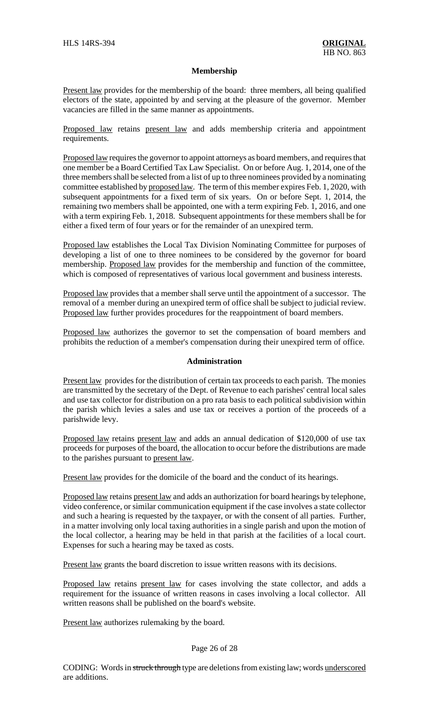#### **Membership**

Present law provides for the membership of the board: three members, all being qualified electors of the state, appointed by and serving at the pleasure of the governor. Member vacancies are filled in the same manner as appointments.

Proposed law retains present law and adds membership criteria and appointment requirements.

Proposed law requires the governor to appoint attorneys as board members, and requires that one member be a Board Certified Tax Law Specialist. On or before Aug. 1, 2014, one of the three membersshall be selected from a list of up to three nominees provided by a nominating committee established by proposed law. The term of this member expires Feb. 1, 2020, with subsequent appointments for a fixed term of six years. On or before Sept. 1, 2014, the remaining two members shall be appointed, one with a term expiring Feb. 1, 2016, and one with a term expiring Feb. 1, 2018. Subsequent appointments for these members shall be for either a fixed term of four years or for the remainder of an unexpired term.

Proposed law establishes the Local Tax Division Nominating Committee for purposes of developing a list of one to three nominees to be considered by the governor for board membership. Proposed law provides for the membership and function of the committee, which is composed of representatives of various local government and business interests.

Proposed law provides that a member shall serve until the appointment of a successor. The removal of a member during an unexpired term of office shall be subject to judicial review. Proposed law further provides procedures for the reappointment of board members.

Proposed law authorizes the governor to set the compensation of board members and prohibits the reduction of a member's compensation during their unexpired term of office.

#### **Administration**

Present law provides for the distribution of certain tax proceeds to each parish. The monies are transmitted by the secretary of the Dept. of Revenue to each parishes' central local sales and use tax collector for distribution on a pro rata basis to each political subdivision within the parish which levies a sales and use tax or receives a portion of the proceeds of a parishwide levy.

Proposed law retains present law and adds an annual dedication of \$120,000 of use tax proceeds for purposes of the board, the allocation to occur before the distributions are made to the parishes pursuant to present law.

Present law provides for the domicile of the board and the conduct of its hearings.

Proposed law retains present law and adds an authorization for board hearings by telephone, video conference, or similar communication equipment if the case involves a state collector and such a hearing is requested by the taxpayer, or with the consent of all parties. Further, in a matter involving only local taxing authorities in a single parish and upon the motion of the local collector, a hearing may be held in that parish at the facilities of a local court. Expenses for such a hearing may be taxed as costs.

Present law grants the board discretion to issue written reasons with its decisions.

Proposed law retains present law for cases involving the state collector, and adds a requirement for the issuance of written reasons in cases involving a local collector. All written reasons shall be published on the board's website.

Present law authorizes rulemaking by the board.

#### Page 26 of 28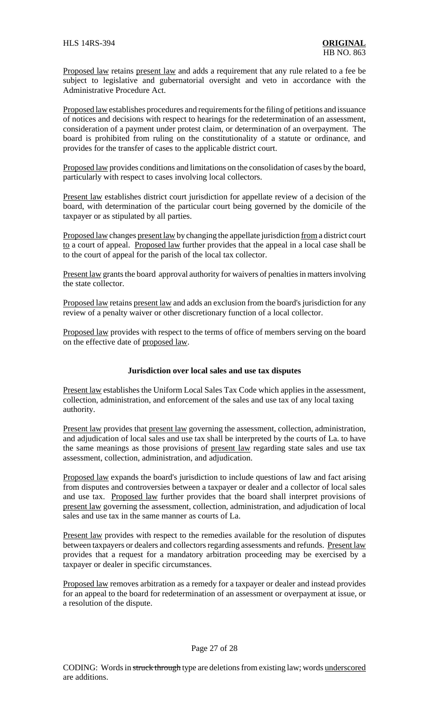Proposed law retains present law and adds a requirement that any rule related to a fee be subject to legislative and gubernatorial oversight and veto in accordance with the Administrative Procedure Act.

Proposed law establishes procedures and requirements for the filing of petitions and issuance of notices and decisions with respect to hearings for the redetermination of an assessment, consideration of a payment under protest claim, or determination of an overpayment. The board is prohibited from ruling on the constitutionality of a statute or ordinance, and provides for the transfer of cases to the applicable district court.

Proposed law provides conditions and limitations on the consolidation of cases by the board, particularly with respect to cases involving local collectors.

Present law establishes district court jurisdiction for appellate review of a decision of the board, with determination of the particular court being governed by the domicile of the taxpayer or as stipulated by all parties.

Proposed law changes present law by changing the appellate jurisdiction from a district court to a court of appeal. Proposed law further provides that the appeal in a local case shall be to the court of appeal for the parish of the local tax collector.

Present law grants the board approval authority for waivers of penalties in matters involving the state collector.

Proposed law retains present law and adds an exclusion from the board's jurisdiction for any review of a penalty waiver or other discretionary function of a local collector.

Proposed law provides with respect to the terms of office of members serving on the board on the effective date of proposed law.

### **Jurisdiction over local sales and use tax disputes**

Present law establishes the Uniform Local Sales Tax Code which applies in the assessment, collection, administration, and enforcement of the sales and use tax of any local taxing authority.

Present law provides that present law governing the assessment, collection, administration, and adjudication of local sales and use tax shall be interpreted by the courts of La. to have the same meanings as those provisions of present law regarding state sales and use tax assessment, collection, administration, and adjudication.

Proposed law expands the board's jurisdiction to include questions of law and fact arising from disputes and controversies between a taxpayer or dealer and a collector of local sales and use tax. Proposed law further provides that the board shall interpret provisions of present law governing the assessment, collection, administration, and adjudication of local sales and use tax in the same manner as courts of La.

Present law provides with respect to the remedies available for the resolution of disputes between taxpayers or dealers and collectors regarding assessments and refunds. Present law provides that a request for a mandatory arbitration proceeding may be exercised by a taxpayer or dealer in specific circumstances.

Proposed law removes arbitration as a remedy for a taxpayer or dealer and instead provides for an appeal to the board for redetermination of an assessment or overpayment at issue, or a resolution of the dispute.